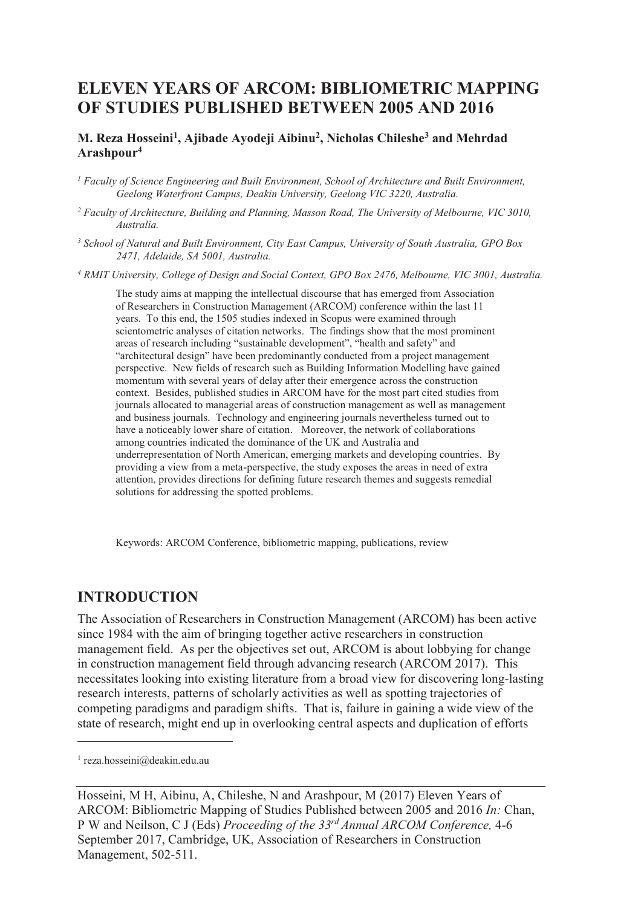# **ELEVEN YEARS OF ARCOM: BIBLIOMETRIC MAPPING OF STUDIES PUBLISHED BETWEEN 2005 AND 2016**

#### **M. Reza Hosseini<sup>1</sup> , Ajibade Ayodeji Aibinu<sup>2</sup> , Nicholas Chileshe<sup>3</sup> and Mehrdad Arashpour<sup>4</sup>**

*1 Faculty of Science Engineering and Built Environment, School of Architecture and Built Environment, Geelong Waterfront Campus, Deakin University, Geelong VIC 3220, Australia.* 

- <sup>2</sup> Faculty of Architecture, Building and Planning, Masson Road, The University of Melbourne, VIC 3010, *Australia.*
- *3 School of Natural and Built Environment, City East Campus, University of South Australia, GPO Box 2471, Adelaide, SA 5001, Australia.*

<sup>4</sup> RMIT University, College of Design and Social Context, GPO Box 2476, Melbourne, VIC 3001, Australia.

The study aims at mapping the intellectual discourse that has emerged from Association of Researchers in Construction Management (ARCOM) conference within the last 11 years. To this end, the 1505 studies indexed in Scopus were examined through scientometric analyses of citation networks. The findings show that the most prominent areas of research including "sustainable development", "health and safety" and "architectural design" have been predominantly conducted from a project management perspective. New fields of research such as Building Information Modelling have gained momentum with several years of delay after their emergence across the construction context. Besides, published studies in ARCOM have for the most part cited studies from journals allocated to managerial areas of construction management as well as management and business journals. Technology and engineering journals nevertheless turned out to have a noticeably lower share of citation. Moreover, the network of collaborations among countries indicated the dominance of the UK and Australia and underrepresentation of North American, emerging markets and developing countries. By providing a view from a meta-perspective, the study exposes the areas in need of extra attention, provides directions for defining future research themes and suggests remedial solutions for addressing the spotted problems.

Keywords: ARCOM Conference, bibliometric mapping, publications, review

### **INTRODUCTION**

The Association of Researchers in Construction Management (ARCOM) has been active since 1984 with the aim of bringing together active researchers in construction management field. As per the objectives set out, ARCOM is about lobbying for change in construction management field through advancing research (ARCOM 2017). This necessitates looking into existing literature from a broad view for discovering long-lasting research interests, patterns of scholarly activities as well as spotting trajectories of competing paradigms and paradigm shifts. That is, failure in gaining a wide view of the state of research, might end up in overlooking central aspects and duplication of efforts

 $\overline{a}$ 

<sup>1</sup> reza.hosseini@deakin.edu.au

Hosseini, M H, Aibinu, A, Chileshe, N and Arashpour, M (2017) Eleven Years of ARCOM: Bibliometric Mapping of Studies Published between 2005 and 2016 *In:* Chan, P W and Neilson, C J (Eds) *Proceeding of the 33rd Annual ARCOM Conference,* 4-6 September 2017, Cambridge, UK, Association of Researchers in Construction Management, 502-511.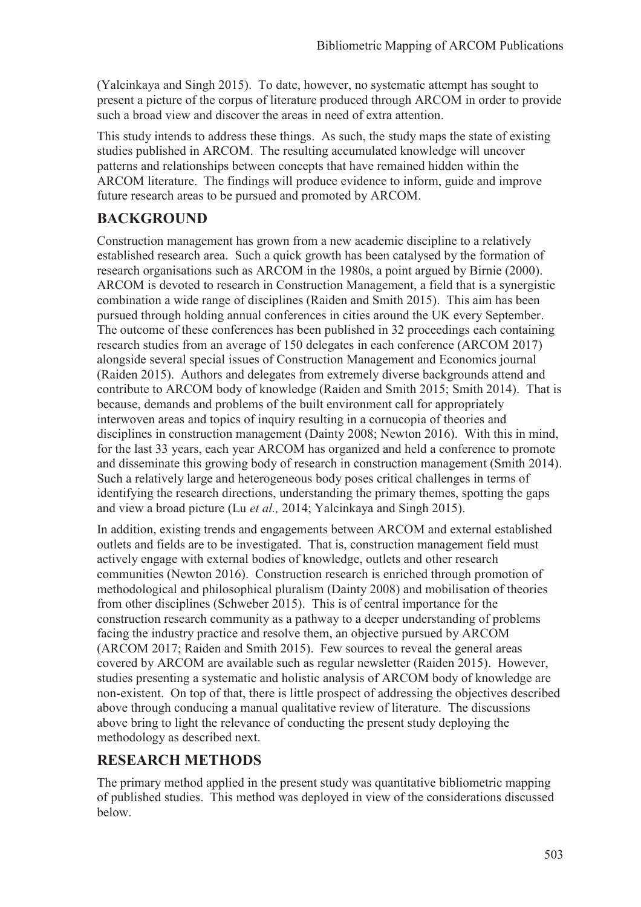(Yalcinkaya and Singh 2015). To date, however, no systematic attempt has sought to present a picture of the corpus of literature produced through ARCOM in order to provide such a broad view and discover the areas in need of extra attention.

This study intends to address these things. As such, the study maps the state of existing studies published in ARCOM. The resulting accumulated knowledge will uncover patterns and relationships between concepts that have remained hidden within the ARCOM literature. The findings will produce evidence to inform, guide and improve future research areas to be pursued and promoted by ARCOM.

# **BACKGROUND**

Construction management has grown from a new academic discipline to a relatively established research area. Such a quick growth has been catalysed by the formation of research organisations such as ARCOM in the 1980s, a point argued by Birnie (2000). ARCOM is devoted to research in Construction Management, a field that is a synergistic combination a wide range of disciplines (Raiden and Smith 2015). This aim has been pursued through holding annual conferences in cities around the UK every September. The outcome of these conferences has been published in 32 proceedings each containing research studies from an average of 150 delegates in each conference (ARCOM 2017) alongside several special issues of Construction Management and Economics journal (Raiden 2015). Authors and delegates from extremely diverse backgrounds attend and contribute to ARCOM body of knowledge (Raiden and Smith 2015; Smith 2014). That is because, demands and problems of the built environment call for appropriately interwoven areas and topics of inquiry resulting in a cornucopia of theories and disciplines in construction management (Dainty 2008; Newton 2016). With this in mind, for the last 33 years, each year ARCOM has organized and held a conference to promote and disseminate this growing body of research in construction management (Smith 2014). Such a relatively large and heterogeneous body poses critical challenges in terms of identifying the research directions, understanding the primary themes, spotting the gaps and view a broad picture (Lu *et al.,* 2014; Yalcinkaya and Singh 2015).

In addition, existing trends and engagements between ARCOM and external established outlets and fields are to be investigated. That is, construction management field must actively engage with external bodies of knowledge, outlets and other research communities (Newton 2016). Construction research is enriched through promotion of methodological and philosophical pluralism (Dainty 2008) and mobilisation of theories from other disciplines (Schweber 2015). This is of central importance for the construction research community as a pathway to a deeper understanding of problems facing the industry practice and resolve them, an objective pursued by ARCOM (ARCOM 2017; Raiden and Smith 2015). Few sources to reveal the general areas covered by ARCOM are available such as regular newsletter (Raiden 2015). However, studies presenting a systematic and holistic analysis of ARCOM body of knowledge are non-existent. On top of that, there is little prospect of addressing the objectives described above through conducing a manual qualitative review of literature. The discussions above bring to light the relevance of conducting the present study deploying the methodology as described next.

# **RESEARCH METHODS**

The primary method applied in the present study was quantitative bibliometric mapping of published studies. This method was deployed in view of the considerations discussed below.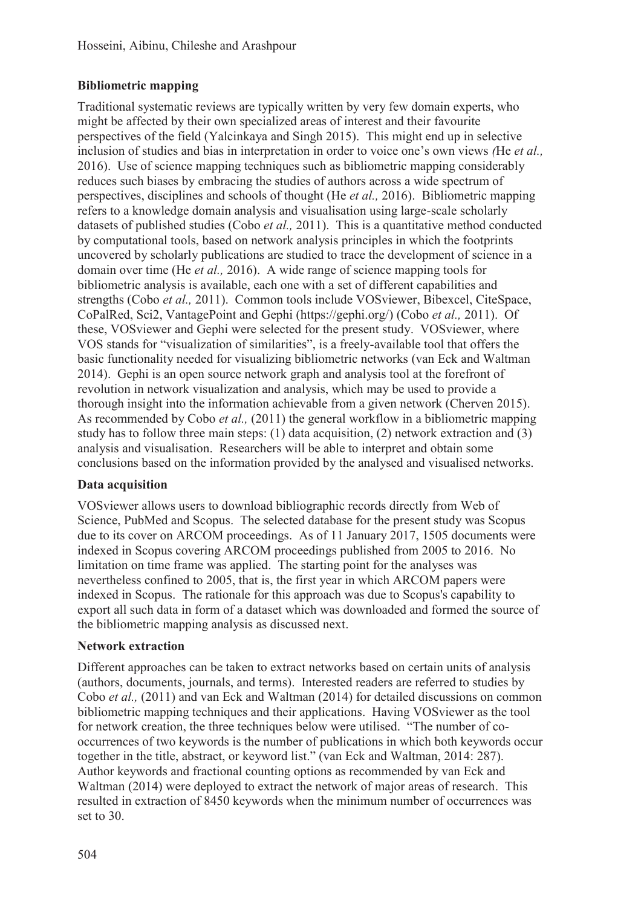### **Bibliometric mapping**

Traditional systematic reviews are typically written by very few domain experts, who might be affected by their own specialized areas of interest and their favourite perspectives of the field (Yalcinkaya and Singh 2015). This might end up in selective inclusion of studies and bias in interpretation in order to voice one's own views *(*He *et al.,* 2016). Use of science mapping techniques such as bibliometric mapping considerably reduces such biases by embracing the studies of authors across a wide spectrum of perspectives, disciplines and schools of thought (He *et al.,* 2016). Bibliometric mapping refers to a knowledge domain analysis and visualisation using large-scale scholarly datasets of published studies (Cobo *et al.,* 2011). This is a quantitative method conducted by computational tools, based on network analysis principles in which the footprints uncovered by scholarly publications are studied to trace the development of science in a domain over time (He *et al.,* 2016). A wide range of science mapping tools for bibliometric analysis is available, each one with a set of different capabilities and strengths (Cobo *et al.,* 2011). Common tools include VOSviewer, Bibexcel, CiteSpace, CoPalRed, Sci2, VantagePoint and Gephi (https://gephi.org/) (Cobo *et al.,* 2011). Of these, VOSviewer and Gephi were selected for the present study. VOSviewer, where VOS stands for "visualization of similarities", is a freely-available tool that offers the basic functionality needed for visualizing bibliometric networks (van Eck and Waltman 2014). Gephi is an open source network graph and analysis tool at the forefront of revolution in network visualization and analysis, which may be used to provide a thorough insight into the information achievable from a given network (Cherven 2015). As recommended by Cobo *et al.,* (2011) the general workflow in a bibliometric mapping study has to follow three main steps: (1) data acquisition, (2) network extraction and (3) analysis and visualisation. Researchers will be able to interpret and obtain some conclusions based on the information provided by the analysed and visualised networks.

#### **Data acquisition**

VOSviewer allows users to download bibliographic records directly from Web of Science, PubMed and Scopus. The selected database for the present study was Scopus due to its cover on ARCOM proceedings. As of 11 January 2017, 1505 documents were indexed in Scopus covering ARCOM proceedings published from 2005 to 2016. No limitation on time frame was applied. The starting point for the analyses was nevertheless confined to 2005, that is, the first year in which ARCOM papers were indexed in Scopus. The rationale for this approach was due to Scopus's capability to export all such data in form of a dataset which was downloaded and formed the source of the bibliometric mapping analysis as discussed next.

#### **Network extraction**

Different approaches can be taken to extract networks based on certain units of analysis (authors, documents, journals, and terms). Interested readers are referred to studies by Cobo *et al.,* (2011) and van Eck and Waltman (2014) for detailed discussions on common bibliometric mapping techniques and their applications. Having VOSviewer as the tool for network creation, the three techniques below were utilised. "The number of cooccurrences of two keywords is the number of publications in which both keywords occur together in the title, abstract, or keyword list." (van Eck and Waltman, 2014: 287). Author keywords and fractional counting options as recommended by van Eck and Waltman (2014) were deployed to extract the network of major areas of research. This resulted in extraction of 8450 keywords when the minimum number of occurrences was set to 30.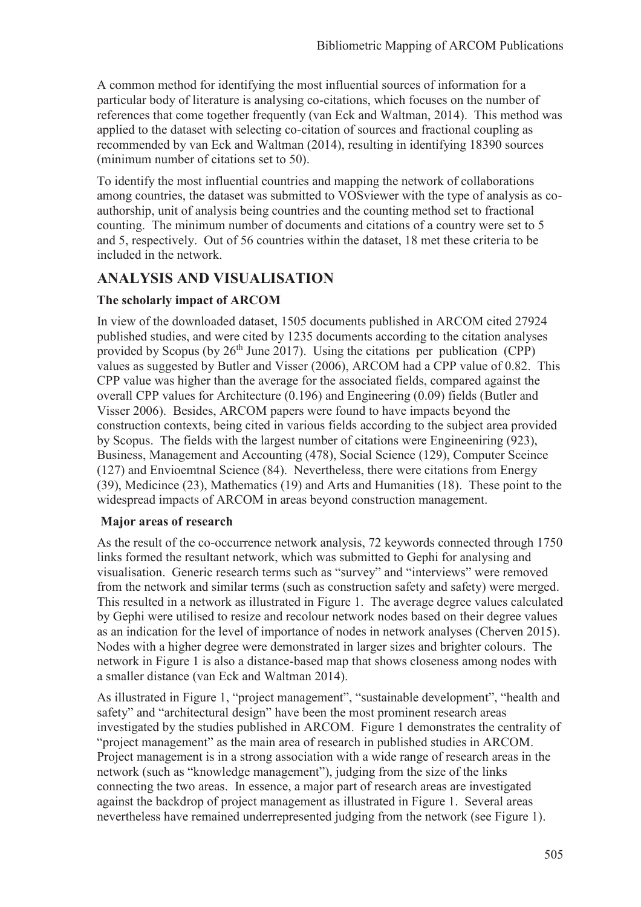A common method for identifying the most influential sources of information for a particular body of literature is analysing co-citations, which focuses on the number of references that come together frequently (van Eck and Waltman, 2014). This method was applied to the dataset with selecting co-citation of sources and fractional coupling as recommended by van Eck and Waltman (2014), resulting in identifying 18390 sources (minimum number of citations set to 50).

To identify the most influential countries and mapping the network of collaborations among countries, the dataset was submitted to VOSviewer with the type of analysis as coauthorship, unit of analysis being countries and the counting method set to fractional counting. The minimum number of documents and citations of a country were set to 5 and 5, respectively. Out of 56 countries within the dataset, 18 met these criteria to be included in the network.

## **ANALYSIS AND VISUALISATION**

### **The scholarly impact of ARCOM**

In view of the downloaded dataset, 1505 documents published in ARCOM cited 27924 published studies, and were cited by 1235 documents according to the citation analyses provided by Scopus (by  $26<sup>th</sup>$  June 2017). Using the citations per publication (CPP) values as suggested by Butler and Visser (2006), ARCOM had a CPP value of 0.82. This CPP value was higher than the average for the associated fields, compared against the overall CPP values for Architecture (0.196) and Engineering (0.09) fields (Butler and Visser 2006). Besides, ARCOM papers were found to have impacts beyond the construction contexts, being cited in various fields according to the subject area provided by Scopus. The fields with the largest number of citations were Engineeniring (923), Business, Management and Accounting (478), Social Science (129), Computer Sceince (127) and Envioemtnal Science (84). Nevertheless, there were citations from Energy (39), Medicince (23), Mathematics (19) and Arts and Humanities (18). These point to the widespread impacts of ARCOM in areas beyond construction management.

#### **Major areas of research**

As the result of the co-occurrence network analysis, 72 keywords connected through 1750 links formed the resultant network, which was submitted to Gephi for analysing and visualisation. Generic research terms such as "survey" and "interviews" were removed from the network and similar terms (such as construction safety and safety) were merged. This resulted in a network as illustrated in Figure 1. The average degree values calculated by Gephi were utilised to resize and recolour network nodes based on their degree values as an indication for the level of importance of nodes in network analyses (Cherven 2015). Nodes with a higher degree were demonstrated in larger sizes and brighter colours. The network in Figure 1 is also a distance-based map that shows closeness among nodes with a smaller distance (van Eck and Waltman 2014).

As illustrated in Figure 1, "project management", "sustainable development", "health and safety" and "architectural design" have been the most prominent research areas investigated by the studies published in ARCOM. Figure 1 demonstrates the centrality of "project management" as the main area of research in published studies in ARCOM. Project management is in a strong association with a wide range of research areas in the network (such as "knowledge management"), judging from the size of the links connecting the two areas. In essence, a major part of research areas are investigated against the backdrop of project management as illustrated in Figure 1. Several areas nevertheless have remained underrepresented judging from the network (see Figure 1).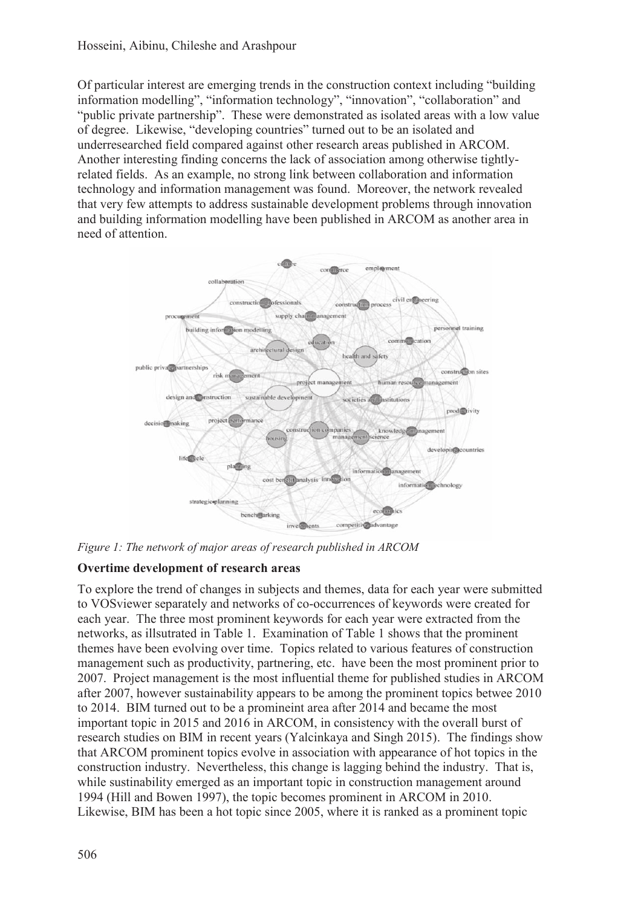Of particular interest are emerging trends in the construction context including "building information modelling", "information technology", "innovation", "collaboration" and "public private partnership". These were demonstrated as isolated areas with a low value of degree. Likewise, "developing countries" turned out to be an isolated and underresearched field compared against other research areas published in ARCOM. Another interesting finding concerns the lack of association among otherwise tightlyrelated fields. As an example, no strong link between collaboration and information technology and information management was found. Moreover, the network revealed that very few attempts to address sustainable development problems through innovation and building information modelling have been published in ARCOM as another area in need of attention.



*Figure 1: The network of major areas of research published in ARCOM* 

### **Overtime development of research areas**

To explore the trend of changes in subjects and themes, data for each year were submitted to VOSviewer separately and networks of co-occurrences of keywords were created for each year. The three most prominent keywords for each year were extracted from the networks, as illsutrated in Table 1. Examination of Table 1 shows that the prominent themes have been evolving over time. Topics related to various features of construction management such as productivity, partnering, etc. have been the most prominent prior to 2007. Project management is the most influential theme for published studies in ARCOM after 2007, however sustainability appears to be among the prominent topics betwee 2010 to 2014. BIM turned out to be a promineint area after 2014 and became the most important topic in 2015 and 2016 in ARCOM, in consistency with the overall burst of research studies on BIM in recent years (Yalcinkaya and Singh 2015). The findings show that ARCOM prominent topics evolve in association with appearance of hot topics in the construction industry. Nevertheless, this change is lagging behind the industry. That is, while sustinability emerged as an important topic in construction management around 1994 (Hill and Bowen 1997), the topic becomes prominent in ARCOM in 2010. Likewise, BIM has been a hot topic since 2005, where it is ranked as a prominent topic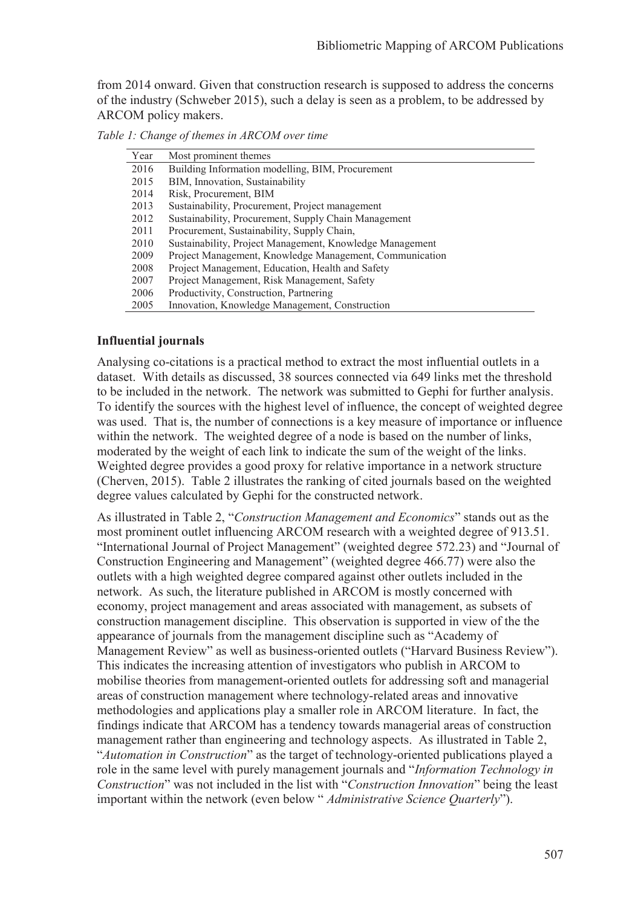from 2014 onward. Given that construction research is supposed to address the concerns of the industry (Schweber 2015), such a delay is seen as a problem, to be addressed by ARCOM policy makers.

| Year | Most prominent themes                                    |
|------|----------------------------------------------------------|
| 2016 | Building Information modelling, BIM, Procurement         |
| 2015 | BIM, Innovation, Sustainability                          |
| 2014 | Risk, Procurement, BIM                                   |
| 2013 | Sustainability, Procurement, Project management          |
| 2012 | Sustainability, Procurement, Supply Chain Management     |
| 2011 | Procurement, Sustainability, Supply Chain,               |
| 2010 | Sustainability, Project Management, Knowledge Management |
| 2009 | Project Management, Knowledge Management, Communication  |
| 2008 | Project Management, Education, Health and Safety         |
| 2007 | Project Management, Risk Management, Safety              |
| 2006 | Productivity, Construction, Partnering                   |
| 2005 | Innovation, Knowledge Management, Construction           |

*Table 1: Change of themes in ARCOM over time* 

#### **Influential journals**

Analysing co-citations is a practical method to extract the most influential outlets in a dataset. With details as discussed, 38 sources connected via 649 links met the threshold to be included in the network. The network was submitted to Gephi for further analysis. To identify the sources with the highest level of influence, the concept of weighted degree was used. That is, the number of connections is a key measure of importance or influence within the network. The weighted degree of a node is based on the number of links, moderated by the weight of each link to indicate the sum of the weight of the links. Weighted degree provides a good proxy for relative importance in a network structure (Cherven, 2015). Table 2 illustrates the ranking of cited journals based on the weighted degree values calculated by Gephi for the constructed network.

As illustrated in Table 2, "*Construction Management and Economics*" stands out as the most prominent outlet influencing ARCOM research with a weighted degree of 913.51. "International Journal of Project Management" (weighted degree 572.23) and "Journal of Construction Engineering and Management" (weighted degree 466.77) were also the outlets with a high weighted degree compared against other outlets included in the network. As such, the literature published in ARCOM is mostly concerned with economy, project management and areas associated with management, as subsets of construction management discipline. This observation is supported in view of the the appearance of journals from the management discipline such as "Academy of Management Review" as well as business-oriented outlets ("Harvard Business Review"). This indicates the increasing attention of investigators who publish in ARCOM to mobilise theories from management-oriented outlets for addressing soft and managerial areas of construction management where technology-related areas and innovative methodologies and applications play a smaller role in ARCOM literature. In fact, the findings indicate that ARCOM has a tendency towards managerial areas of construction management rather than engineering and technology aspects. As illustrated in Table 2, "*Automation in Construction*" as the target of technology-oriented publications played a role in the same level with purely management journals and "*Information Technology in Construction*" was not included in the list with "*Construction Innovation*" being the least important within the network (even below " *Administrative Science Quarterly*").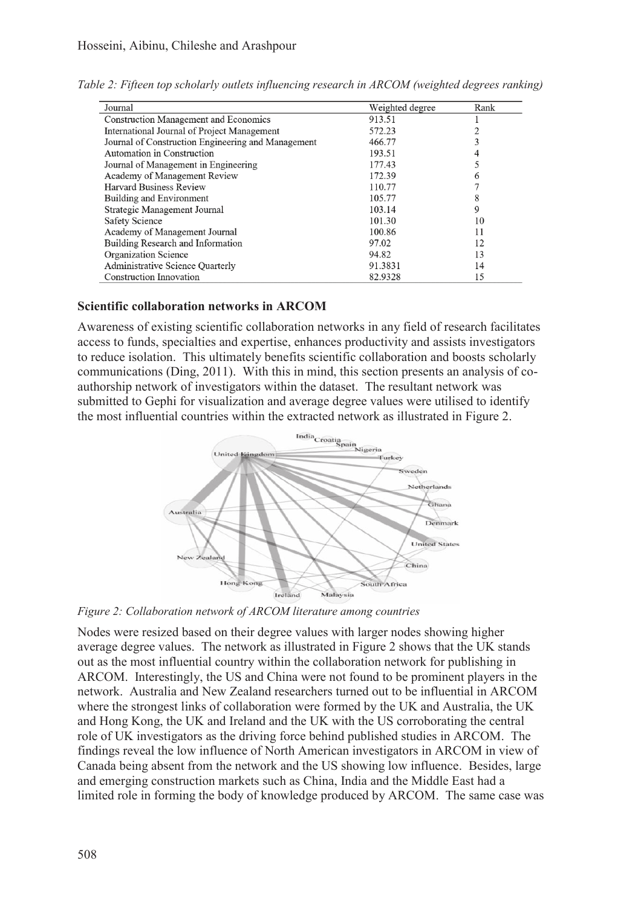| Journal                                            | Weighted degree | Rank |
|----------------------------------------------------|-----------------|------|
| <b>Construction Management and Economics</b>       | 913.51          |      |
| International Journal of Project Management        | 572.23          |      |
| Journal of Construction Engineering and Management | 466.77          |      |
| Automation in Construction                         | 193.51          |      |
| Journal of Management in Engineering               | 177.43          |      |
| Academy of Management Review                       | 172.39          | 6    |
| Harvard Business Review                            | 110.77          |      |
| Building and Environment                           | 105.77          | 8    |
| Strategic Management Journal                       | 103.14          | 9    |
| <b>Safety Science</b>                              | 101.30          | 10   |
| Academy of Management Journal                      | 100.86          | 11   |
| Building Research and Information                  | 97.02           | 12   |
| Organization Science                               | 94.82           | 13   |
| Administrative Science Quarterly                   | 91.3831         | 14   |
| <b>Construction Innovation</b>                     | 82.9328         | 15   |

*Table 2: Fifteen top scholarly outlets influencing research in ARCOM (weighted degrees ranking)* 

#### **Scientific collaboration networks in ARCOM**

Awareness of existing scientific collaboration networks in any field of research facilitates access to funds, specialties and expertise, enhances productivity and assists investigators to reduce isolation. This ultimately benefits scientific collaboration and boosts scholarly communications (Ding, 2011). With this in mind, this section presents an analysis of coauthorship network of investigators within the dataset. The resultant network was submitted to Gephi for visualization and average degree values were utilised to identify the most influential countries within the extracted network as illustrated in Figure 2.



*Figure 2: Collaboration network of ARCOM literature among countries* 

Nodes were resized based on their degree values with larger nodes showing higher average degree values. The network as illustrated in Figure 2 shows that the UK stands out as the most influential country within the collaboration network for publishing in ARCOM. Interestingly, the US and China were not found to be prominent players in the network. Australia and New Zealand researchers turned out to be influential in ARCOM where the strongest links of collaboration were formed by the UK and Australia, the UK and Hong Kong, the UK and Ireland and the UK with the US corroborating the central role of UK investigators as the driving force behind published studies in ARCOM. The findings reveal the low influence of North American investigators in ARCOM in view of Canada being absent from the network and the US showing low influence. Besides, large and emerging construction markets such as China, India and the Middle East had a limited role in forming the body of knowledge produced by ARCOM. The same case was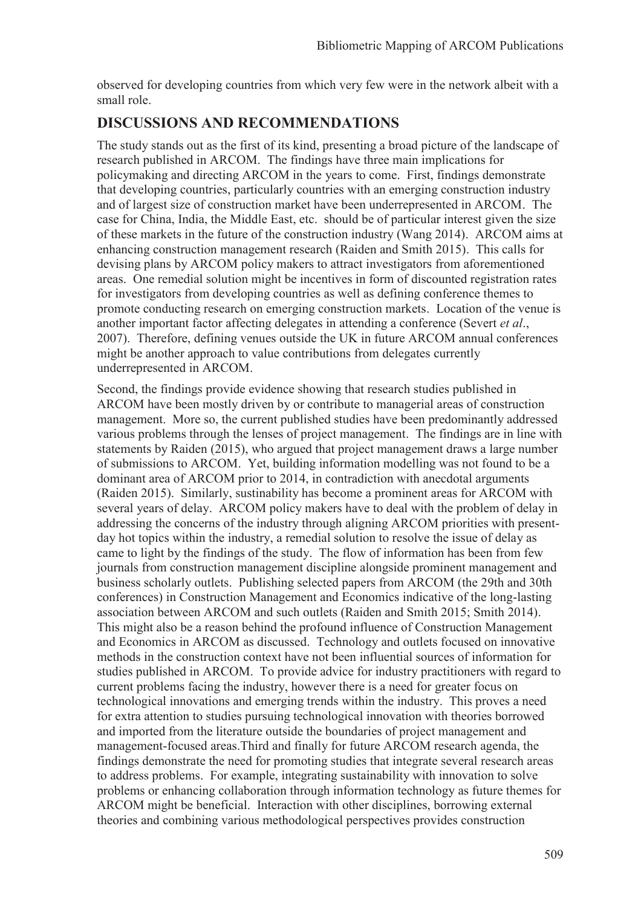observed for developing countries from which very few were in the network albeit with a small role.

## **DISCUSSIONS AND RECOMMENDATIONS**

The study stands out as the first of its kind, presenting a broad picture of the landscape of research published in ARCOM. The findings have three main implications for policymaking and directing ARCOM in the years to come. First, findings demonstrate that developing countries, particularly countries with an emerging construction industry and of largest size of construction market have been underrepresented in ARCOM. The case for China, India, the Middle East, etc. should be of particular interest given the size of these markets in the future of the construction industry (Wang 2014). ARCOM aims at enhancing construction management research (Raiden and Smith 2015). This calls for devising plans by ARCOM policy makers to attract investigators from aforementioned areas. One remedial solution might be incentives in form of discounted registration rates for investigators from developing countries as well as defining conference themes to promote conducting research on emerging construction markets. Location of the venue is another important factor affecting delegates in attending a conference (Severt *et al*., 2007). Therefore, defining venues outside the UK in future ARCOM annual conferences might be another approach to value contributions from delegates currently underrepresented in ARCOM.

Second, the findings provide evidence showing that research studies published in ARCOM have been mostly driven by or contribute to managerial areas of construction management. More so, the current published studies have been predominantly addressed various problems through the lenses of project management. The findings are in line with statements by Raiden (2015), who argued that project management draws a large number of submissions to ARCOM. Yet, building information modelling was not found to be a dominant area of ARCOM prior to 2014, in contradiction with anecdotal arguments (Raiden 2015). Similarly, sustinability has become a prominent areas for ARCOM with several years of delay. ARCOM policy makers have to deal with the problem of delay in addressing the concerns of the industry through aligning ARCOM priorities with presentday hot topics within the industry, a remedial solution to resolve the issue of delay as came to light by the findings of the study. The flow of information has been from few journals from construction management discipline alongside prominent management and business scholarly outlets. Publishing selected papers from ARCOM (the 29th and 30th conferences) in Construction Management and Economics indicative of the long-lasting association between ARCOM and such outlets (Raiden and Smith 2015; Smith 2014). This might also be a reason behind the profound influence of Construction Management and Economics in ARCOM as discussed. Technology and outlets focused on innovative methods in the construction context have not been influential sources of information for studies published in ARCOM. To provide advice for industry practitioners with regard to current problems facing the industry, however there is a need for greater focus on technological innovations and emerging trends within the industry. This proves a need for extra attention to studies pursuing technological innovation with theories borrowed and imported from the literature outside the boundaries of project management and management-focused areas.Third and finally for future ARCOM research agenda, the findings demonstrate the need for promoting studies that integrate several research areas to address problems. For example, integrating sustainability with innovation to solve problems or enhancing collaboration through information technology as future themes for ARCOM might be beneficial. Interaction with other disciplines, borrowing external theories and combining various methodological perspectives provides construction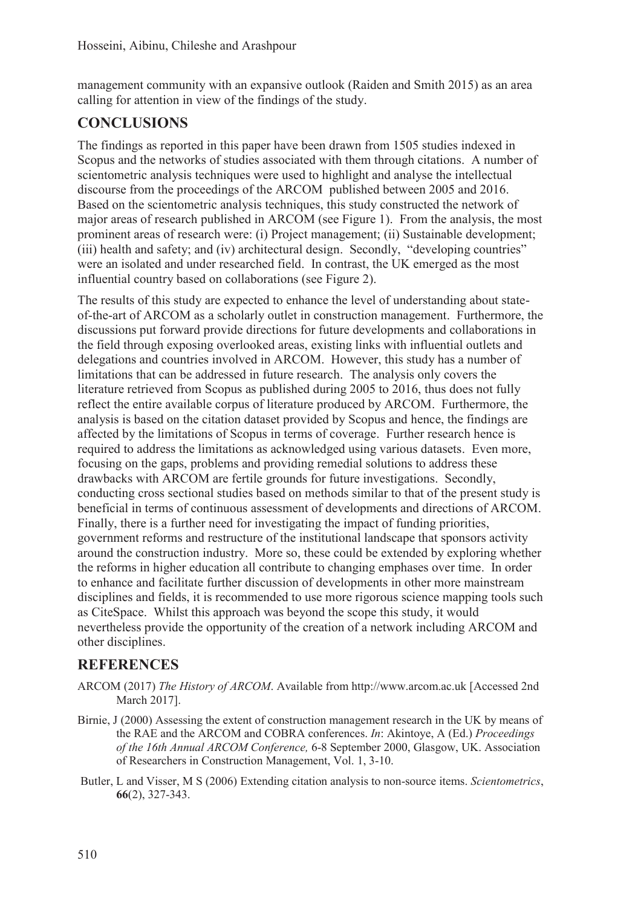management community with an expansive outlook (Raiden and Smith 2015) as an area calling for attention in view of the findings of the study.

# **CONCLUSIONS**

The findings as reported in this paper have been drawn from 1505 studies indexed in Scopus and the networks of studies associated with them through citations. A number of scientometric analysis techniques were used to highlight and analyse the intellectual discourse from the proceedings of the ARCOM published between 2005 and 2016. Based on the scientometric analysis techniques, this study constructed the network of major areas of research published in ARCOM (see Figure 1). From the analysis, the most prominent areas of research were: (i) Project management; (ii) Sustainable development; (iii) health and safety; and (iv) architectural design. Secondly, "developing countries" were an isolated and under researched field. In contrast, the UK emerged as the most influential country based on collaborations (see Figure 2).

The results of this study are expected to enhance the level of understanding about stateof-the-art of ARCOM as a scholarly outlet in construction management. Furthermore, the discussions put forward provide directions for future developments and collaborations in the field through exposing overlooked areas, existing links with influential outlets and delegations and countries involved in ARCOM. However, this study has a number of limitations that can be addressed in future research. The analysis only covers the literature retrieved from Scopus as published during 2005 to 2016, thus does not fully reflect the entire available corpus of literature produced by ARCOM. Furthermore, the analysis is based on the citation dataset provided by Scopus and hence, the findings are affected by the limitations of Scopus in terms of coverage. Further research hence is required to address the limitations as acknowledged using various datasets. Even more, focusing on the gaps, problems and providing remedial solutions to address these drawbacks with ARCOM are fertile grounds for future investigations. Secondly, conducting cross sectional studies based on methods similar to that of the present study is beneficial in terms of continuous assessment of developments and directions of ARCOM. Finally, there is a further need for investigating the impact of funding priorities, government reforms and restructure of the institutional landscape that sponsors activity around the construction industry. More so, these could be extended by exploring whether the reforms in higher education all contribute to changing emphases over time. In order to enhance and facilitate further discussion of developments in other more mainstream disciplines and fields, it is recommended to use more rigorous science mapping tools such as CiteSpace. Whilst this approach was beyond the scope this study, it would nevertheless provide the opportunity of the creation of a network including ARCOM and other disciplines.

## **REFERENCES**

- ARCOM (2017) *The History of ARCOM*. Available from http://www.arcom.ac.uk [Accessed 2nd March 2017].
- Birnie, J (2000) Assessing the extent of construction management research in the UK by means of the RAE and the ARCOM and COBRA conferences. *In*: Akintoye, A (Ed.) *Proceedings of the 16th Annual ARCOM Conference,* 6-8 September 2000, Glasgow, UK. Association of Researchers in Construction Management, Vol. 1, 3-10.
- Butler, L and Visser, M S (2006) Extending citation analysis to non-source items. *Scientometrics*, **66**(2), 327-343.